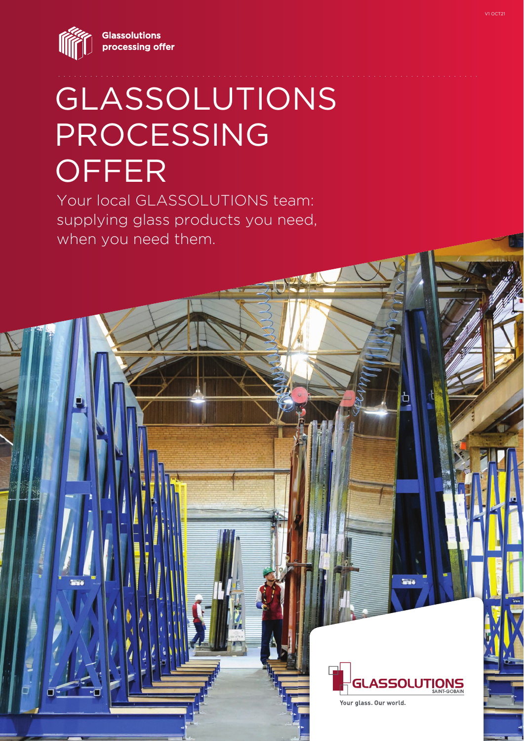**Glassolutions** processing offer



# GLASSOLUTIONS PROCESSING **OFFER**

Your local GLASSOLUTIONS team: supplying glass products you need, when you need them.



Your glass. Our world.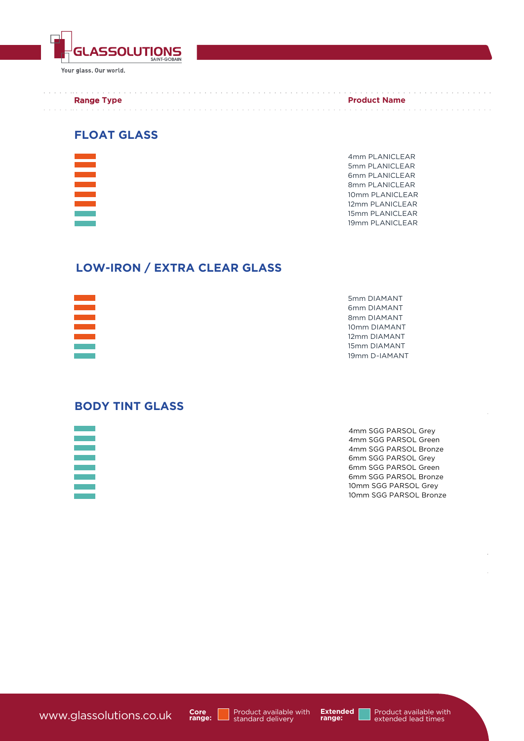

Your glass. Our world.

#### Range **Type**  and a string

**Product Name** 

. . . . . . . . . . . . . . . . .

and a construction of the construction of the construction of the construction of the construction of the construction of the construction of the construction of the construction of the construction of the construction of

### **FLOAT GLASS**



4mm PLANICLEAR 5mm PLANICLEAR 6mm PLANICLEAR 8mm PLANICLEAR 10mm PLANICLEAR 12mm PLANICLEAR 15mm PLANICLEAR 19mm PLANICLEAR

## **LOW-IRON / EXTRA CLEAR GLASS**



## **BODY TINT GLASS**



4mm SGG PARSOL Grey 4mm SGG PARSOL Green 4mm SGG PARSOL Bronze 6mm SGG PARSOL Grey 6mm SGG PARSOL Green 6mm SGG PARSOL Bronze 10mm SGG PARSOL Grey 10mm SGG PARSOL Bronze

www.glassolutions.co.uk



Product available with<br>standard delivery

**Extended range:**

Product available with extended lead times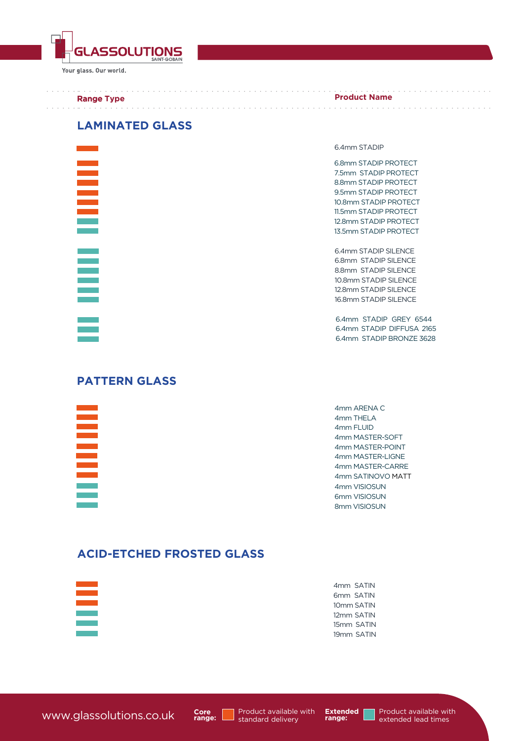

Your glass. Our world.

#### Range **Type**

#### **Product Name**

## **LAMINATED GLASS**



#### 6.4mm STADIP

6.8mm STADIP PROTECT 7.5mm STADIP PROTECT 8.8mm STADIP PROTECT 9.5mm STADIP PROTECT 10.8mm STADIP PROTECT 11.5mm STADIP PROTECT 12.8mm STADIP PROTECT 13.5mm STADIP PROTECT

and a series and a series and a series of a

6.4mm STADIP SILENCE 6.8mm STADIP SILENCE 8.8mm STADIP SILENCE 10.8mm STADIP SILENCE 12.8mm STADIP SILENCE 16.8mm STADIP SILENCE

6.4mm STADIP GREY 6544 6.4mm STADIP DIFFUSA 2165 6.4mm STADIP BRONZE 3628

## **PATTERN GLASS**

4mm ARENA C 4mm THELA 4mm FLUID 4mm MASTER-SOFT 4mm MASTER-POINT 4mm MASTER-LIGNE 4mm MASTER-CARRE 4mm SATINOVO MATT 4mm VISIOSUN 6mm VISIOSUN 8mm VISIOSUN

## **ACID-ETCHED FROSTED GLASS**

4mm SATIN 6mm SATIN 10mm SATIN 12mm SATIN 15mm SATIN 19mm SATIN



**Extended range:**